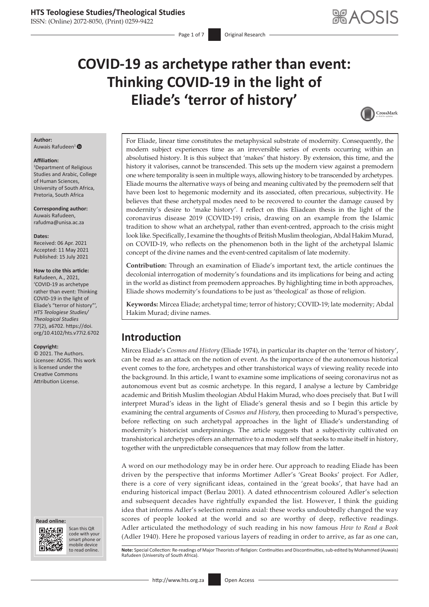ISSN: (Online) 2072-8050, (Print) 0259-9422

# **COVID-19 as archetype rather than event: Thinking COVID-19 in the light of Eliade's 'terror of history'**



#### **Author:** Auwais Rafudeen[1](http://orcid.org/0000-0001-5443-1461)

#### **Affiliation:**

1 Department of Religious Studies and Arabic, College of Human Sciences, University of South Africa, Pretoria, South Africa

**Corresponding author:** Auwais Rafudeen, [rafudma@unisa.ac.za](mailto:rafudma@unisa.ac.za)

**Dates:**

Received: 06 Apr. 2021 Accepted: 11 May 2021 Published: 15 July 2021

#### **How to cite this article:**

Rafudeen, A., 2021, 'COVID-19 as archetype rather than event: Thinking COVID-19 in the light of Eliade's "terror of history"', *HTS Teologiese Studies/ Theological Studies* 77(2), a6702. [https://doi.](https://doi.org/10.4102/hts.v77i2.6702) [org/10.4102/hts.v77i2.6702](https://doi.org/10.4102/hts.v77i2.6702)

#### **Copyright:**

© 2021. The Authors. Licensee: AOSIS. This work is licensed under the Creative Commons Attribution License.





Scan this QR code with your Scan this QR<br>code with your<br>smart phone or<br>mobile device mobile device to read online.

For Eliade, linear time constitutes the metaphysical substrate of modernity. Consequently, the modern subject experiences time as an irreversible series of events occurring within an absolutised history. It is this subject that 'makes' that history. By extension, this time, and the history it valorises, cannot be transcended. This sets up the modern view against a premodern one where temporality is seen in multiple ways, allowing history to be transcended by archetypes. Eliade mourns the alternative ways of being and meaning cultivated by the premodern self that have been lost to hegemonic modernity and its associated, often precarious, subjectivity. He believes that these archetypal modes need to be recovered to counter the damage caused by modernity's desire to 'make history'. I reflect on this Eliadean thesis in the light of the coronavirus disease 2019 (COVID-19) crisis, drawing on an example from the Islamic tradition to show what an archetypal, rather than event-centred, approach to the crisis might look like. Specifically, I examine the thoughts of British Muslim theologian, Abdal Hakim Murad, on COVID-19, who reflects on the phenomenon both in the light of the archetypal Islamic concept of the divine names and the event-centred capitalism of late modernity.

**Contribution:** Through an examination of Eliade's important text, the article continues the decolonial interrogation of modernity's foundations and its implications for being and acting in the world as distinct from premodern approaches. By highlighting time in both approaches, Eliade shows modernity's foundations to be just as 'theological' as those of religion.

**Keywords:** Mircea Eliade; archetypal time; terror of history; COVID-19; late modernity; Abdal Hakim Murad; divine names.

# **Introduction**

Mircea Eliade's *Cosmos and History* (Eliade 1974), in particular its chapter on the 'terror of history', can be read as an attack on the notion of event. As the importance of the autonomous historical event comes to the fore, archetypes and other transhistorical ways of viewing reality recede into the background. In this article, I want to examine some implications of seeing coronavirus not as autonomous event but as cosmic archetype. In this regard, I analyse a lecture by Cambridge academic and British Muslim theologian Abdul Hakim Murad, who does precisely that. But I will interpret Murad's ideas in the light of Eliade's general thesis and so I begin this article by examining the central arguments of *Cosmos and History*, then proceeding to Murad's perspective, before reflecting on such archetypal approaches in the light of Eliade's understanding of modernity's historicist underpinnings. The article suggests that a subjectivity cultivated on transhistorical archetypes offers an alternative to a modern self that seeks to make itself in history, together with the unpredictable consequences that may follow from the latter.

A word on our methodology may be in order here. Our approach to reading Eliade has been driven by the perspective that informs Mortimer Adler's 'Great Books' project. For Adler, there is a core of very significant ideas, contained in the 'great books', that have had an enduring historical impact (Berlau 2001). A dated ethnocentrism coloured Adler's selection and subsequent decades have rightfully expanded the list. However, I think the guiding idea that informs Adler's selection remains axial: these works undoubtedly changed the way scores of people looked at the world and so are worthy of deep, reflective readings. Adler articulated the methodology of such reading in his now famous *How to Read a Book* (Adler 1940). Here he proposed various layers of reading in order to arrive, as far as one can,

Note: Special Collection: Re-readings of Major Theorists of Religion: Continuities and Discontinuities, sub-edited by Mohammed (Auwais) Rafudeen (University of South Africa).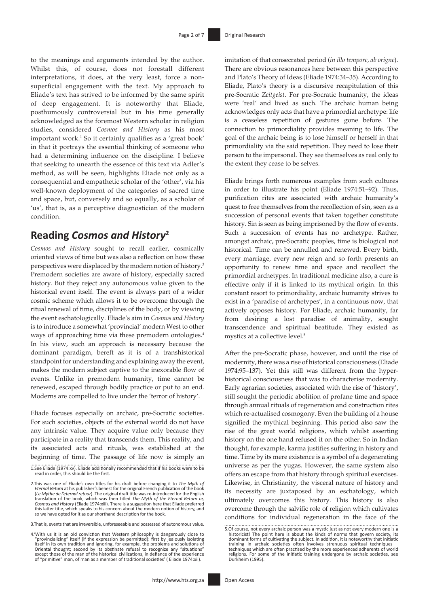to the meanings and arguments intended by the author. Whilst this, of course, does not forestall different interpretations, it does, at the very least, force a nonsuperficial engagement with the text. My approach to Eliade's text has strived to be informed by the same spirit of deep engagement. It is noteworthy that Eliade, posthumously controversial but in his time generally acknowledged as the foremost Western scholar in religion studies, considered *Cosmos and History* as his most important work.1 So it certainly qualifies as a 'great book' in that it portrays the essential thinking of someone who had a determining influence on the discipline. I believe that seeking to unearth the essence of this text via Adler's method, as will be seen, highlights Eliade not only as a consequential and empathetic scholar of the 'other', via his well-known deployment of the categories of sacred time and space, but, conversely and so equally, as a scholar of 'us', that is, as a perceptive diagnostician of the modern condition.

# **Reading** *Cosmos and History***<sup>2</sup>**

*Cosmos and History* sought to recall earlier, cosmically oriented views of time but was also a reflection on how these perspectives were displaced by the modern notion of history.3 Premodern societies are aware of history, especially sacred history. But they reject any autonomous value given to the historical event itself. The event is always part of a wider cosmic scheme which allows it to be overcome through the ritual renewal of time, disciplines of the body, or by viewing the event eschatologically. Eliade's aim in *Cosmos and History* is to introduce a somewhat 'provincial' modern West to other ways of approaching time via these premodern ontologies.4 In his view, such an approach is necessary because the dominant paradigm, bereft as it is of a transhistorical standpoint for understanding and explaining away the event, makes the modern subject captive to the inexorable flow of events. Unlike in premodern humanity, time cannot be renewed, escaped through bodily practice or put to an end. Moderns are compelled to live under the 'terror of history'.

Eliade focuses especially on archaic, pre-Socratic societies. For such societies, objects of the external world do not have any intrinsic value. They acquire value only because they participate in a reality that transcends them. This reality, and its associated acts and rituals, was established at the beginning of time. The passage of life now is simply an

3.That is, events that are irreversible, unforeseeable and possessed of autonomous value.

4.'With us it is an old conviction that Western philosophy is dangerously close to "provincializing" itself (if the expression be permitted): first by jealously isolating<br>itself in its own tradition and ignoring, for example, the problems and solutions of<br>Oriental thought; second by its obstinate refusal except those of the man of the historical civilizations, in defiance of the experience of "primitive" man, of man as a member of traditional societies' ( Eliade 1974:xii).

imitation of that consecrated period (*in illo tempore, ab origne*). There are obvious resonances here between this perspective and Plato's Theory of Ideas (Eliade 1974:34–35). According to Eliade, Plato's theory is a discursive recapitulation of this pre-Socratic *Zeitgeist*. For pre-Socratic humanity, the ideas were 'real' and lived as such. The archaic human being acknowledges only acts that have a primordial archetype: life is a ceaseless repetition of gestures gone before. The connection to primordiality provides meaning to life. The goal of the archaic being is to lose himself or herself in that primordiality via the said repetition. They need to lose their person to the impersonal. They see themselves as real only to the extent they cease to be selves.

Eliade brings forth numerous examples from such cultures in order to illustrate his point (Eliade 1974:51–92). Thus, purification rites are associated with archaic humanity's quest to free themselves from the recollection of sin, seen as a succession of personal events that taken together constitute history. Sin is seen as being imprisoned by the flow of events. Such a succession of events has no archetype. Rather, amongst archaic, pre-Socratic peoples, time is biological not historical. Time can be annulled and renewed. Every birth, every marriage, every new reign and so forth presents an opportunity to renew time and space and recollect the primordial archetypes. In traditional medicine also, a cure is effective only if it is linked to its mythical origin. In this constant resort to primordiality, archaic humanity strives to exist in a 'paradise of archetypes', in a continuous now, that actively opposes history. For Eliade, archaic humanity, far from desiring a lost paradise of animality, sought transcendence and spiritual beatitude. They existed as mystics at a collective level.5

After the pre-Socratic phase, however, and until the rise of modernity, there was a rise of historical consciousness (Eliade 1974:95–137). Yet this still was different from the hyperhistorical consciousness that was to characterise modernity. Early agrarian societies, associated with the rise of 'history', still sought the periodic abolition of profane time and space through annual rituals of regeneration and construction rites which re-actualised cosmogony. Even the building of a house signified the mythical beginning. This period also saw the rise of the great world religions, which whilst asserting history on the one hand refused it on the other. So in Indian thought, for example, karma justifies suffering in history and time. Time by its mere existence is a symbol of a degenerating universe as per the yugas. However, the same system also offers an escape from that history through spiritual exercises. Likewise, in Christianity, the visceral nature of history and its necessity are juxtaposed by an eschatology, which ultimately overcomes this history. This history is also overcome through the salvific role of religion which cultivates conditions for individual regeneration in the face of the

<sup>1.</sup>See Eliade (1974:xv). Eliade additionally recommended that if his books were to be read in order, this should be the first.

<sup>2.</sup>This was one of Eliade's own titles for his draft before changing it to *The Myth of Eternal Return* at his publisher's behest for the original French publication of the book (*Le Mythe de l'eternal retour*). The original draft title was re-introduced for the English translation of the book, which was then titled *The Myth of the Eternal Return or, Cosmos and History* (Eliade 1974:xiii). There is a suggestion here that Eliade preferred this latter title, which speaks to his concern about the modern notion of history, and so we have opted for it as our shorthand description for the book.

<sup>5.</sup>Of course, not every archaic person was a mystic just as not every modern one is a historicist! The point here is about the kinds of norms that govern society, its dominant forms of cultivating the subject. In addition, it is noteworthy that initiatic training in archaic societies often involves strenuous spiritual techniques – techniques which are often practised by the more experienced adherents of world religions. For some of the initiatic training undergone by archaic societies, see Durkheim (1995).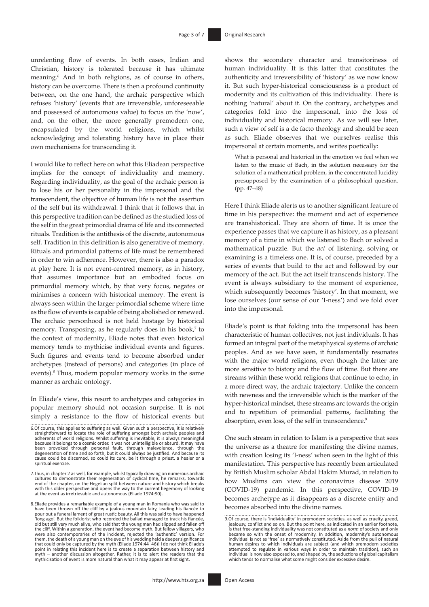unrelenting flow of events. In both cases, Indian and Christian, history is tolerated because it has ultimate meaning.6 And in both religions, as of course in others, history can be overcome. There is then a profound continuity between, on the one hand, the archaic perspective which refuses 'history' (events that are irreversible, unforeseeable and possessed of autonomous value) to focus on the 'now', and, on the other, the more generally premodern one, encapsulated by the world religions, which whilst acknowledging and tolerating history have in place their own mechanisms for transcending it.

I would like to reflect here on what this Eliadean perspective implies for the concept of individuality and memory. Regarding individuality, as the goal of the archaic person is to lose his or her personality in the impersonal and the transcendent, the objective of human life is not the assertion of the self but its withdrawal. I think that it follows that in this perspective tradition can be defined as the studied loss of the self in the great primordial drama of life and its connected rituals. Tradition is the antithesis of the discrete, autonomous self. Tradition in this definition is also generative of memory. Rituals and primordial patterns of life must be remembered in order to win adherence. However, there is also a paradox at play here. It is not event-centred memory, as in history, that assumes importance but an embodied focus on primordial memory which, by that very focus, negates or minimises a concern with historical memory. The event is always seen within the larger primordial scheme where time as the flow of events is capable of being abolished or renewed. The archaic personhood is not held hostage by historical memory. Transposing, as he regularly does in his book,<sup>7</sup> to the context of modernity, Eliade notes that even historical memory tends to mythicise individual events and figures. Such figures and events tend to become absorbed under archetypes (instead of persons) and categories (in place of events).<sup>8</sup> Thus, modern popular memory works in the same manner as archaic ontology.

In Eliade's view, this resort to archetypes and categories in popular memory should not occasion surprise. It is not simply a resistance to the flow of historical events but shows the secondary character and transitoriness of human individuality. It is this latter that constitutes the authenticity and irreversibility of 'history' as we now know it. But such hyper-historical consciousness is a product of modernity and its cultivation of this individuality. There is nothing 'natural' about it. On the contrary, archetypes and categories fold into the impersonal, into the loss of individuality and historical memory. As we will see later, such a view of self is a de facto theology and should be seen as such. Eliade observes that we ourselves realise this impersonal at certain moments, and writes poetically:

What is personal and historical in the emotion we feel when we listen to the music of Bach, in the solution necessary for the solution of a mathematical problem, in the concentrated lucidity presupposed by the examination of a philosophical question. (pp. 47–48)

Here I think Eliade alerts us to another significant feature of time in his perspective: the moment and act of experience are transhistorical. They are shorn of time. It is once the experience passes that we capture it as history, as a pleasant memory of a time in which we listened to Bach or solved a mathematical puzzle. But the *act* of listening, solving or examining is a timeless one. It is, of course, preceded by a series of events that build to the act and followed by our memory of the act. But the act itself transcends history. The event is always subsidiary to the moment of experience, which subsequently becomes 'history'. In that moment, we lose ourselves (our sense of our 'I-ness') and we fold over into the impersonal.

Eliade's point is that folding into the impersonal has been characteristic of human collectives, not just individuals. It has formed an integral part of the metaphysical systems of archaic peoples. And as we have seen, it fundamentally resonates with the major world religions, even though the latter are more sensitive to history and the flow of time. But there are streams within these world religions that continue to echo, in a more direct way, the archaic trajectory. Unlike the concern with newness and the irreversible which is the marker of the hyper-historical mindset, these streams arc towards the origin and to repetition of primordial patterns, facilitating the absorption, even loss, of the self in transcendence.<sup>9</sup>

One such stream in relation to Islam is a perspective that sees the universe as a theatre for manifesting the divine names, with creation losing its 'I-ness' when seen in the light of this manifestation. This perspective has recently been articulated by British Muslim scholar Abdal Hakim Murad, in relation to how Muslims can view the coronavirus disease 2019 (COVID-19) pandemic. In this perspective, COVID-19 becomes archetype as it disappears as a discrete entity and becomes absorbed into the divine names.

<sup>6.</sup>Of course, this applies to suffering as well. Given such a perspective, it is relatively straightforward to locate the role of suffering amongst both archaic peoples and adherents of world religions. Whilst suffering is inevitable, it is always meaningful because it belongs to a cosmic order. It was not unintelligible or absurd. It may have been provoked through personal fault, through malevolence, through the degeneration of time and so forth, but it could always be justified. And because its cause could be discerned, so could its cure, be it through a priest, a healer or a spiritual exercise.

<sup>7.</sup>Thus, in chapter 2 as well, for example, whilst typically drawing on numerous archaic cultures to demonstrate their regeneration of cyclical time, he remarks, towards end of the chapter, on the Hegelian split between nature and history which breaks with this older perspective and opens the way to the current hegemony of looking at the event as irretrievable and autonomous (Eliade 1974:90).

<sup>8.</sup>Eliade provides a remarkable example of a young man in Romania who was said to have been thrown off the cliff by a jealous mountain fairy, leading his fiancée to<br>pour out a funeral lament of great rustic beauty. All this was said to have happened<br>'long ago'. But the folklorist who recorded the ballad old but still very much alive, who said that the young man had slipped and fallen off the cliff. Within a generation, the event had become myth. But fellow villagers, who were also contemporaries of the incident, rejected the 'authentic' version. For them, the death of a young man on the eve of his wedding held a deeper significance that could only be captured by the myth (Eliade 1974:44–46)! I do not think Eliade's point in relating this incident here is to create a separation between history and myth – another discussion altogether. Rather, it is to alert the readers that the mythicisation of event is more natural than what it may appear at first sight.

<sup>9.</sup>Of course, there is 'individuality' in premodern societies, as well as cruelty, greed, jealousy, conflict and so on. But the point here, as indicated in an earlier footnote, is that free-standing individuality was not constituted as a *norm* of society and only became so with the onset of modernity. In addition, modernity's autonomous individual is not as 'free' as normatively constituted. Aside from the pull of natural human desires to which individuals are subject (and which premodern societies attempted to regulate in various ways in order to maintain tradition), such an individual is now also exposed to, and shaped by, the seductions of global capitalism which tends to normalise what some might consider excessive desire.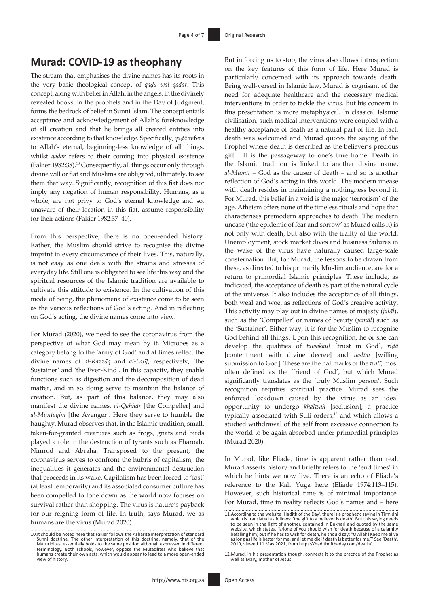# **Murad: COVID-19 as theophany**

The stream that emphasises the divine names has its roots in the very basic theological concept of *qaḍā wal qadar*. This concept, along with belief in Allah, in the angels, in the divinely revealed books, in the prophets and in the Day of Judgment, forms the bedrock of belief in Sunni Islam. The concept entails acceptance and acknowledgement of Allah's foreknowledge of all creation and that he brings all created entities into existence according to that knowledge. Specifically, *qaḍā* refers to Allah's eternal, beginning-less knowledge of all things, whilst *qadar* refers to their coming into physical existence (Fakier 1982:38).10 Consequently, all things occur only through divine will or fiat and Muslims are obligated, ultimately, to see them that way. Significantly, recognition of this fiat does not imply any negation of human responsibility. Humans, as a whole, are not privy to God's eternal knowledge and so, unaware of their location in this fiat, assume responsibility for their actions (Fakier 1982:37–40).

From this perspective, there is no open-ended history. Rather, the Muslim should strive to recognise the divine imprint in every circumstance of their lives. This, naturally, is not easy as one deals with the strains and stresses of everyday life. Still one is obligated to see life this way and the spiritual resources of the Islamic tradition are available to cultivate this attitude to existence. In the cultivation of this mode of being, the phenomena of existence come to be seen as the various reflections of God's acting. And in reflecting on God's acting, the divine names come into view.

For Murad (2020), we need to see the coronavirus from the perspective of what God may mean by it. Microbes as a category belong to the 'army of God' and at times reflect the divine names of *al-Razzāq* and *al-Laṭīf*, respectively, 'the Sustainer' and 'the Ever-Kind'. In this capacity, they enable functions such as digestion and the decomposition of dead matter, and in so doing serve to maintain the balance of creation. But, as part of this balance, they may also manifest the divine names*, al-Qahhār* [the Compeller] and *al-Muntaqim* [the Avenger]. Here they serve to humble the haughty. Murad observes that, in the Islamic tradition, small, taken-for-granted creatures such as frogs, gnats and birds played a role in the destruction of tyrants such as Pharoah, Nimrod and Abraha. Transposed to the present, the coronavirus serves to confront the hubris of capitalism, the inequalities it generates and the environmental destruction that proceeds in its wake. Capitalism has been forced to 'fast' (at least temporarily) and its associated consumer culture has been compelled to tone down as the world now focuses on survival rather than shopping. The virus is nature's payback for our reigning form of life. In truth, says Murad, we as humans are the virus (Murad 2020).

But in forcing us to stop, the virus also allows introspection on the key features of this form of life. Here Murad is particularly concerned with its approach towards death. Being well-versed in Islamic law, Murad is cognisant of the need for adequate healthcare and the necessary medical interventions in order to tackle the virus. But his concern in this presentation is more metaphysical. In classical Islamic civilisation, such medical interventions were coupled with a healthy acceptance of death as a natural part of life. In fact, death was welcomed and Murad quotes the saying of the Prophet where death is described as the believer's precious gift.11 It is the passageway to one's true home. Death in the Islamic tradition is linked to another divine name, *al-Mumīt* – God as the causer of death – and so is another reflection of God's acting in this world. The modern unease with death resides in maintaining a nothingness beyond it. For Murad, this belief in a void is the major 'terrorism' of the age. Atheism offers none of the timeless rituals and hope that characterises premodern approaches to death. The modern unease ('the epidemic of fear and sorrow' as Murad calls it) is not only with death, but also with the frailty of the world. Unemployment, stock market dives and business failures in the wake of the virus have naturally caused large-scale consternation. But, for Murad, the lessons to be drawn from these, as directed to his primarily Muslim audience, are for a return to primordial Islamic principles. These include, as indicated, the acceptance of death as part of the natural cycle of the universe. It also includes the acceptance of all things, both weal and woe, as reflections of God's creative activity. This activity may play out in divine names of majesty (*jalāl*), such as the 'Compeller' or names of beauty (*jamāl*) such as the 'Sustainer'. Either way, it is for the Muslim to recognise God behind all things. Upon this recognition, he or she can develop the qualities of *tawakkul* [trust in God], *riḍā* [contentment with divine decree] and *taslīm* [willing submission to God]. These are the hallmarks of the *walī*, most often defined as the 'friend of God', but which Murad significantly translates as the 'truly Muslim person'. Such recognition requires spiritual practice. Murad sees the enforced lockdown caused by the virus as an ideal opportunity to undergo *khalwah* [seclusion], a practice typically associated with Sufi orders,<sup>12</sup> and which allows a studied withdrawal of the self from excessive connection to the world to be again absorbed under primordial principles (Murad 2020).

In Murad, like Eliade, time is apparent rather than real. Murad asserts history and briefly refers to the 'end times' in which he hints we now live. There is an echo of Eliade's reference to the Kali Yuga here (Eliade 1974:113–115). However, such historical time is of minimal importance. For Murad, time in reality reflects God's names and – here

<sup>10.</sup>It should be noted here that Fakier follows the Asharite interpretation of standard Sunni doctrine. The other interpretation of this doctrine, namely, that of the Maturidites, essentially holds to the same position although expressed in different terminology. Both schools, however, oppose the Mutazilites who believe that humans create their own acts, which would appear to lead to a more open-ended view of history.

<sup>11.</sup>According to the website 'Hadith of the Day', there is a prophetic saying in Tirmidhī which is translated as follows: 'the gift to a believer is death'. But this saying needs to be seen in the light of another, contained in Bukhari and quoted by the same website, which states, '[*n*]one of you should wish for death because of a calamity befalling him; but if he has to wish for death, he should say: "O Allah! Keep me alive as long as life is better for me, and let me die if death is better for me."' See 'Death', 2019, viewed 11 May 2021, from [https://hadithoftheday.com/death/.](https://hadithoftheday.com/death/)

<sup>12.</sup>Murad, in his presentation though, connects it to the practice of the Prophet as well as Mary, mother of Jesus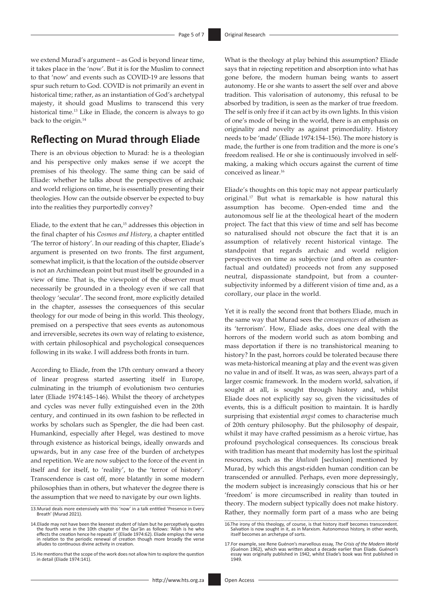we extend Murad's argument – as God is beyond linear time, it takes place in the 'now'. But it is for the Muslim to connect to that 'now' and events such as COVID-19 are lessons that spur such return to God. COVID is not primarily an event in historical time; rather, as an instantiation of God's archetypal majesty, it should goad Muslims to transcend this very historical time.<sup>13</sup> Like in Eliade, the concern is always to go back to the origin.<sup>14</sup>

# **Reflecting on Murad through Eliade**

There is an obvious objection to Murad: he is a theologian and his perspective only makes sense if we accept the premises of his theology. The same thing can be said of Eliade: whether he talks about the perspectives of archaic and world religions on time, he is essentially presenting their theologies. How can the outside observer be expected to buy into the realities they purportedly convey?

Eliade, to the extent that he can, $15$  addresses this objection in the final chapter of his *Cosmos and History*, a chapter entitled 'The terror of history'. In our reading of this chapter, Eliade's argument is presented on two fronts. The first argument, somewhat implicit, is that the location of the outside observer is not an Archimedean point but must itself be grounded in a view of time. That is, the viewpoint of the observer must necessarily be grounded in a theology even if we call that theology 'secular'. The second front, more explicitly detailed in the chapter, assesses the consequences of this secular theology for our mode of being in this world. This theology, premised on a perspective that sees events as autonomous and irreversible, secretes its own way of relating to existence, with certain philosophical and psychological consequences following in its wake. I will address both fronts in turn.

According to Eliade, from the 17th century onward a theory of linear progress started asserting itself in Europe, culminating in the triumph of evolutionism two centuries later (Eliade 1974:145–146). Whilst the theory of archetypes and cycles was never fully extinguished even in the 20th century, and continued in its own fashion to be reflected in works by scholars such as Spengler, the die had been cast. Humankind, especially after Hegel, was destined to move through existence as historical beings, ideally onwards and upwards, but in any case free of the burden of archetypes and repetition. We are now subject to the force of the event in itself and for itself, to 'reality', to the 'terror of history'. Transcendence is cast off, more blatantly in some modern philosophies than in others, but whatever the degree there is the assumption that we need to navigate by our own lights.

What is the theology at play behind this assumption? Eliade says that in rejecting repetition and absorption into what has gone before, the modern human being wants to assert autonomy. He or she wants to assert the self over and above tradition. This valorisation of autonomy, this refusal to be absorbed by tradition, is seen as the marker of true freedom. The self is only free if it can act by its own lights. In this vision of one's mode of being in the world, there is an emphasis on originality and novelty as against primordiality. History needs to be 'made' (Eliade 1974:154–156). The more history is made, the further is one from tradition and the more is one's freedom realised. He or she is continuously involved in selfmaking, a making which occurs against the current of time conceived as linear.16

Eliade's thoughts on this topic may not appear particularly original.17 But what is remarkable is how natural this assumption has become. Open-ended time and the autonomous self lie at the theological heart of the modern project. The fact that this view of time and self has become so naturalised should not obscure the fact that it is an assumption of relatively recent historical vintage. The standpoint that regards archaic and world religion perspectives on time as subjective (and often as counterfactual and outdated) proceeds not from any supposed neutral, dispassionate standpoint, but from a countersubjectivity informed by a different vision of time and, as a corollary, our place in the world.

Yet it is really the second front that bothers Eliade, much in the same way that Murad sees the *consequences* of atheism as its 'terrorism'. How, Eliade asks, does one deal with the horrors of the modern world such as atom bombing and mass deportation if there is no transhistorical meaning to history? In the past, horrors could be tolerated because there was meta-historical meaning at play and the event was given no value in and of itself. It was, as was seen, always part of a larger cosmic framework. In the modern world, salvation, if sought at all, is sought through history and, whilst Eliade does not explicitly say so, given the vicissitudes of events, this is a difficult position to maintain. It is hardly surprising that existential *angst* comes to characterise much of 20th century philosophy. But the philosophy of despair, whilst it may have crafted pessimism as a heroic virtue, has profound psychological consequences. Its conscious break with tradition has meant that modernity has lost the spiritual resources, such as the *khalwah* [seclusion] mentioned by Murad, by which this angst-ridden human condition can be transcended or annulled. Perhaps, even more depressingly, the modern subject is increasingly conscious that his or her 'freedom' is more circumscribed in reality than touted in theory. The modern subject typically does not make history. Rather, they normally form part of a mass who are being

<sup>13.</sup>Murad deals more extensively with this 'now' in a talk entitled 'Presence in Every Breath' (Murad 2021).

<sup>14.</sup>Eliade may not have been the keenest student of Islam but he perceptively quotes the fourth verse in the 10th chapter of the Qur'ān as follows: 'Allah is he who effects the creation hence he repeats it' (Eliade 1974:62). Eliade employs the verse in relation to the periodic renewal of creation though more broadly the verse alludes to continuous divine activity in creation.

<sup>15.</sup>He mentions that the scope of the work does not allow him to explore the question in detail (Eliade 1974:141).

<sup>16.</sup>The irony of this theology, of course, is that history itself becomes transcendent. Salvation is now sought in it, as in Marxism. Autonomous history, in other words, itself becomes an archetype of sorts.

<sup>17.</sup>For example, see Rene Guénon's marvellous essay, *The Crisis of the Modern World* (Guénon 1962), which was written about a decade earlier than Eliade. Guénon's essay was originally published in 1942, whilst Eliade's book was first published in 1949.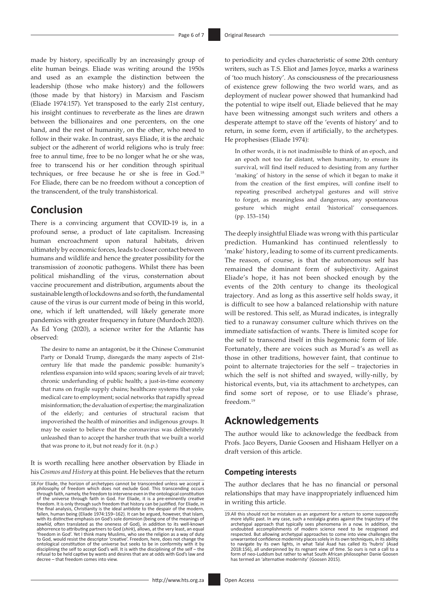made by history, specifically by an increasingly group of elite human beings. Eliade was writing around the 1950s and used as an example the distinction between the leadership (those who make history) and the followers (those made by that history) in Marxism and Fascism (Eliade 1974:157). Yet transposed to the early 21st century, his insight continues to reverberate as the lines are drawn between the billionaires and one percenters, on the one hand, and the rest of humanity, on the other, who need to follow in their wake. In contrast, says Eliade, it is the archaic subject or the adherent of world religions who is truly free: free to annul time, free to be no longer what he or she was, free to transcend his or her condition through spiritual techniques, or free because he or she is free in God.18 For Eliade, there can be no freedom without a conception of the transcendent, of the truly transhistorical.

### **Conclusion**

There is a convincing argument that COVID-19 is, in a profound sense, a product of late capitalism. Increasing human encroachment upon natural habitats, driven ultimately by economic forces, leads to closer contact between humans and wildlife and hence the greater possibility for the transmission of zoonotic pathogens. Whilst there has been political mishandling of the virus, consternation about vaccine procurement and distribution, arguments about the sustainable length of lockdowns and so forth, the fundamental cause of the virus is our current mode of being in this world, one, which if left unattended, will likely generate more pandemics with greater frequency in future (Murdoch 2020). As Ed Yong (2020), a science writer for the Atlantic has observed:

The desire to name an antagonist, be it the Chinese Communist Party or Donald Trump, disregards the many aspects of 21stcentury life that made the pandemic possible: humanity's relentless expansion into wild spaces; soaring levels of air travel; chronic underfunding of public health; a just-in-time economy that runs on fragile supply chains; healthcare systems that yoke medical care to employment; social networks that rapidly spread misinformation; the devaluation of expertise; the marginalization of the elderly; and centuries of structural racism that impoverished the health of minorities and indigenous groups. It may be easier to believe that the coronavirus was deliberately unleashed than to accept the harsher truth that we built a world that was prone to it, but not ready for it. (n.p.)

It is worth recalling here another observation by Eliade in his *Cosmos and History* at this point. He believes that the return to periodicity and cycles characteristic of some 20th century writers, such as T.S. Eliot and James Joyce, marks a wariness of 'too much history'. As consciousness of the precariousness of existence grew following the two world wars, and as deployment of nuclear power showed that humankind had the potential to wipe itself out, Eliade believed that he may have been witnessing amongst such writers and others a desperate attempt to stave off the 'events of history' and to return, in some form, even if artificially, to the archetypes. He prophesises (Eliade 1974):

In other words, it is not inadmissible to think of an epoch, and an epoch not too far distant, when humanity, to ensure its survival, will find itself reduced to desisting from any further 'making' of history in the sense of which it began to make it from the creation of the first empires, will confine itself to repeating prescribed archetypal gestures and will strive to forget, as meaningless and dangerous, any spontaneous gesture which might entail 'historical' consequences. (pp. 153–154)

The deeply insightful Eliade was wrong with this particular prediction. Humankind has continued relentlessly to 'make' history, leading to some of its current predicaments. The reason, of course, is that the autonomous self has remained the dominant form of subjectivity. Against Eliade's hope, it has not been shocked enough by the events of the 20th century to change its theological trajectory. And as long as this assertive self holds sway, it is difficult to see how a balanced relationship with nature will be restored. This self, as Murad indicates, is integrally tied to a runaway consumer culture which thrives on the immediate satisfaction of wants. There is limited scope for the self to transcend itself in this hegemonic form of life. Fortunately, there are voices such as Murad's as well as those in other traditions, however faint, that continue to point to alternate trajectories for the self – trajectories in which the self is not shifted and swayed, willy-nilly, by historical events, but, via its attachment to archetypes, can find some sort of repose, or to use Eliade's phrase, freedom.19

## **Acknowledgements**

The author would like to acknowledge the feedback from Profs. Jaco Beyers, Danie Goosen and Hishaam Hellyer on a draft version of this article.

### **Competing interests**

The author declares that he has no financial or personal relationships that may have inappropriately influenced him in writing this article.

<sup>18.</sup>For Eliade, the horizon of archetypes cannot be transcended unless we accept a philosophy of freedom which does not exclude God. This transcending occurs through faith, namely, the freedom to intervene even in the ontological constitution of the universe through faith in God. For Eliade, it is a pre-eminently creative freedom. It is only through such freedom that history can be justified. For Eliade, in the final analysis, Christianity is the ideal antidote to the despair of the modern, fallen, human being (Eliade 1974:159–162). It can be argued, however, that Islam, with its distinctive emphasis on God's sole dominion (being one of the meanings of *tawhīd*, often translated as the oneness of God), in addition to its well-known abhorrence to attributing partners to God (*shirk*), allows, at the very least, an equal 'freedom in God'. Yet I think many Muslims, who see the religion as a way of duty to God, would resist the descriptor 'creative'. Freedom, here, does not change the ontological constitution of the universe but seeks to be in conformity with it by disciplining the self to accept God's will. It is with the disciplining of the self – the refusal to be held captive by wants and desires that are at odds with God's law and decree – that freedom comes into view.

<sup>19.</sup>All this should not be mistaken as an argument for a return to some supposedly more idyllic past. In any case, such a nostalgia grates against the trajectory of the<br>archetypal approach that typically sees phenomena in a now. In addition, the<br>undoubted accomplishments of modern science need to be reco unwarranted confidence modernity places solely in its own techniques, in its ability<br>to navigate by its own lights, in what Talal Asad has called its 'hubris' (Asad<br>2018:156), all underpinned by its regnant view of time. S form of neo-Luddism but rather to what South African philosopher Danie Goosen has termed an 'alternative modernity' (Goosen 2015).